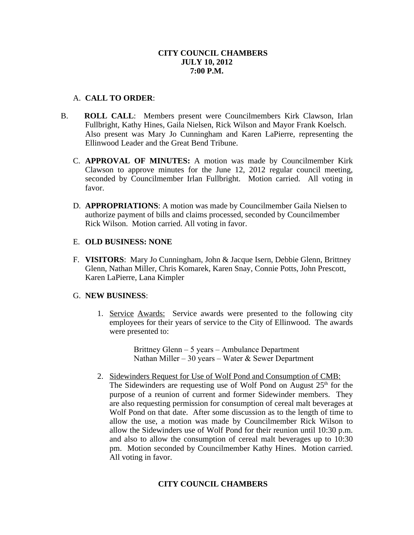# **CITY COUNCIL CHAMBERS JULY 10, 2012 7:00 P.M.**

# A. **CALL TO ORDER**:

- B. **ROLL CALL**: Members present were Councilmembers Kirk Clawson, Irlan Fullbright, Kathy Hines, Gaila Nielsen, Rick Wilson and Mayor Frank Koelsch. Also present was Mary Jo Cunningham and Karen LaPierre, representing the Ellinwood Leader and the Great Bend Tribune.
	- C. **APPROVAL OF MINUTES:** A motion was made by Councilmember Kirk Clawson to approve minutes for the June 12, 2012 regular council meeting, seconded by Councilmember Irlan Fullbright. Motion carried. All voting in favor.
	- D. **APPROPRIATIONS**: A motion was made by Councilmember Gaila Nielsen to authorize payment of bills and claims processed, seconded by Councilmember Rick Wilson. Motion carried. All voting in favor.

### E. **OLD BUSINESS: NONE**

F. **VISITORS**: Mary Jo Cunningham, John & Jacque Isern, Debbie Glenn, Brittney Glenn, Nathan Miller, Chris Komarek, Karen Snay, Connie Potts, John Prescott, Karen LaPierre, Lana Kimpler

#### G. **NEW BUSINESS**:

1. Service Awards: Service awards were presented to the following city employees for their years of service to the City of Ellinwood. The awards were presented to:

> Brittney Glenn – 5 years – Ambulance Department Nathan Miller – 30 years – Water & Sewer Department

2. Sidewinders Request for Use of Wolf Pond and Consumption of CMB: The Sidewinders are requesting use of Wolf Pond on August  $25<sup>th</sup>$  for the purpose of a reunion of current and former Sidewinder members. They are also requesting permission for consumption of cereal malt beverages at Wolf Pond on that date. After some discussion as to the length of time to allow the use, a motion was made by Councilmember Rick Wilson to allow the Sidewinders use of Wolf Pond for their reunion until 10:30 p.m. and also to allow the consumption of cereal malt beverages up to 10:30 pm. Motion seconded by Councilmember Kathy Hines. Motion carried. All voting in favor.

# **CITY COUNCIL CHAMBERS**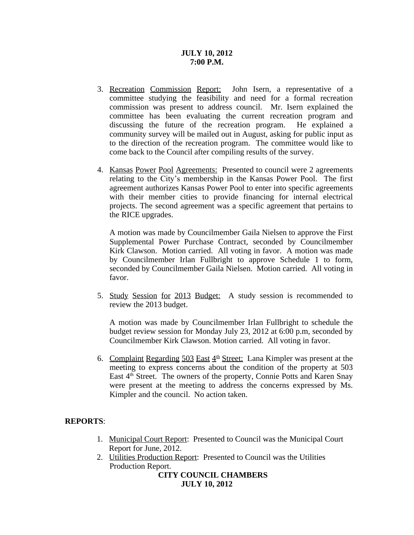# **JULY 10, 2012 7:00 P.M.**

- 3. Recreation Commission Report: John Isern, a representative of a committee studying the feasibility and need for a formal recreation commission was present to address council. Mr. Isern explained the committee has been evaluating the current recreation program and discussing the future of the recreation program. He explained a community survey will be mailed out in August, asking for public input as to the direction of the recreation program. The committee would like to come back to the Council after compiling results of the survey.
- 4. Kansas Power Pool Agreements: Presented to council were 2 agreements relating to the City's membership in the Kansas Power Pool. The first agreement authorizes Kansas Power Pool to enter into specific agreements with their member cities to provide financing for internal electrical projects. The second agreement was a specific agreement that pertains to the RICE upgrades.

A motion was made by Councilmember Gaila Nielsen to approve the First Supplemental Power Purchase Contract, seconded by Councilmember Kirk Clawson. Motion carried. All voting in favor. A motion was made by Councilmember Irlan Fullbright to approve Schedule 1 to form, seconded by Councilmember Gaila Nielsen. Motion carried. All voting in favor.

5. Study Session for 2013 Budget: A study session is recommended to review the 2013 budget.

A motion was made by Councilmember Irlan Fullbright to schedule the budget review session for Monday July 23, 2012 at 6:00 p.m, seconded by Councilmember Kirk Clawson. Motion carried. All voting in favor.

6. Complaint Regarding  $503$  East  $4<sup>th</sup>$  Street: Lana Kimpler was present at the meeting to express concerns about the condition of the property at 503 East 4<sup>th</sup> Street. The owners of the property, Connie Potts and Karen Snay were present at the meeting to address the concerns expressed by Ms. Kimpler and the council. No action taken.

# **REPORTS**:

- 1. Municipal Court Report: Presented to Council was the Municipal Court Report for June, 2012.
- 2. Utilities Production Report: Presented to Council was the Utilities Production Report.

**CITY COUNCIL CHAMBERS JULY 10, 2012**